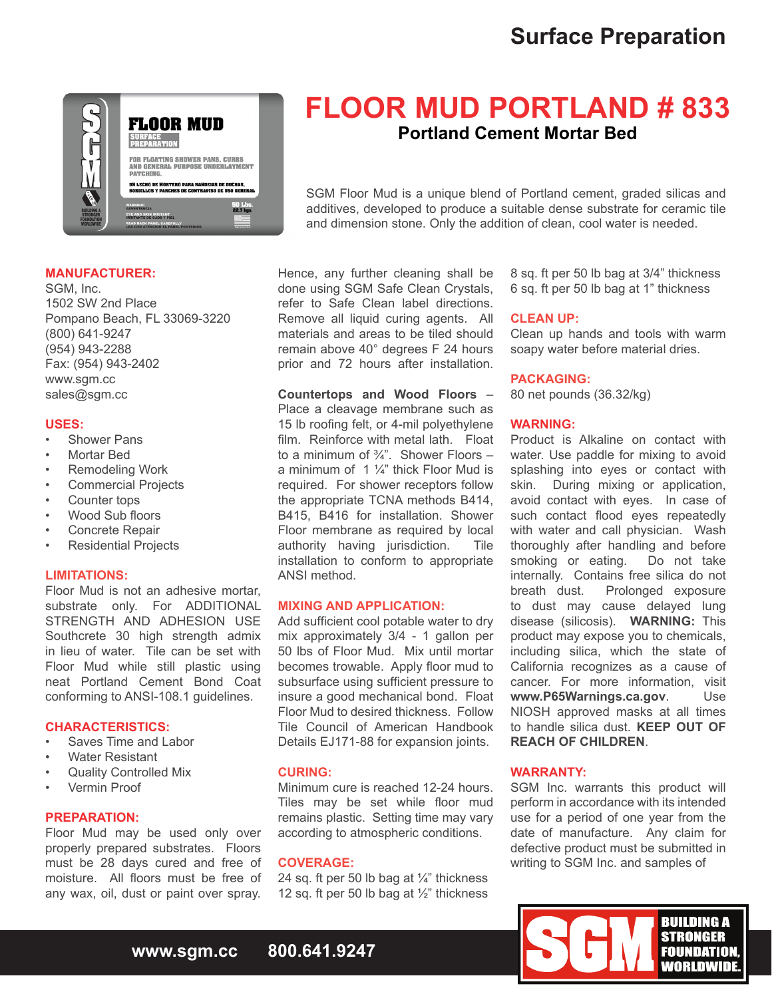# **Surface Preparation**



## **MANUFACTURER:**

SGM, Inc. 1502 SW 2nd Place Pompano Beach, FL 33069-3220 (800) 641-9247 (954) 943-2288 Fax: (954) 943-2402 www.sgm.cc sales@sgm.cc

### **USES:**

- **Shower Pans**
- **Mortar Bed**
- **Remodeling Work**
- Commercial Projects
- Counter tops
- Wood Sub floors
- Concrete Repair
- **Residential Projects**

### **LIMITATIONS:**

Floor Mud is not an adhesive mortar, substrate only. For ADDITIONAL STRENGTH AND ADHESION USE Southcrete 30 high strength admix in lieu of water. Tile can be set with Floor Mud while still plastic using neat Portland Cement Bond Coat conforming to ANSI-108.1 guidelines.

## **CHARACTERISTICS:**

- Saves Time and Labor
- **Water Resistant**
- **Quality Controlled Mix**
- Vermin Proof

# **PREPARATION:**

Floor Mud may be used only over properly prepared substrates. Floors must be 28 days cured and free of moisture. All floors must be free of any wax, oil, dust or paint over spray.

# **FLOOR MUD PORTLAND # 833 Portland Cement Mortar Bed**

SGM Floor Mud is a unique blend of Portland cement, graded silicas and additives, developed to produce a suitable dense substrate for ceramic tile and dimension stone. Only the addition of clean, cool water is needed.

Hence, any further cleaning shall be done using SGM Safe Clean Crystals, refer to Safe Clean label directions. Remove all liquid curing agents. All materials and areas to be tiled should remain above 40° degrees F 24 hours prior and 72 hours after installation.

### **Countertops and Wood Floors** –

Place a cleavage membrane such as 15 lb roofing felt, or 4-mil polyethylene film. Reinforce with metal lath. Float to a minimum of  $\frac{3}{4}$ ". Shower Floors – a minimum of 1  $\frac{1}{4}$ " thick Floor Mud is required. For shower receptors follow the appropriate TCNA methods B414, B415, B416 for installation. Shower Floor membrane as required by local authority having jurisdiction. Tile installation to conform to appropriate ANSI method.

# **MIXING AND APPLICATION:**

Add sufficient cool potable water to dry mix approximately 3/4 - 1 gallon per 50 lbs of Floor Mud. Mix until mortar becomes trowable. Apply floor mud to subsurface using sufficient pressure to insure a good mechanical bond. Float Floor Mud to desired thickness. Follow Tile Council of American Handbook Details EJ171-88 for expansion joints.

#### **CURING:**

Minimum cure is reached 12-24 hours. Tiles may be set while floor mud remains plastic. Setting time may vary according to atmospheric conditions.

#### **COVERAGE:**

24 sq. ft per 50 lb bag at  $\frac{1}{4}$ " thickness 12 sq. ft per 50 lb bag at ½" thickness

8 sq. ft per 50 lb bag at 3/4" thickness 6 sq. ft per 50 lb bag at 1" thickness

# **CLEAN UP:**

Clean up hands and tools with warm soapy water before material dries.

#### **PACKAGING:**

80 net pounds (36.32/kg)

# **WARNING:**

Product is Alkaline on contact with water. Use paddle for mixing to avoid splashing into eyes or contact with skin. During mixing or application, avoid contact with eyes. In case of such contact flood eyes repeatedly with water and call physician. Wash thoroughly after handling and before<br>smoking or eating. Do not take smoking or eating. internally. Contains free silica do not<br>breath dust. Prolonged exposure Prolonged exposure to dust may cause delayed lung disease (silicosis). **WARNING:** This product may expose you to chemicals, including silica, which the state of California recognizes as a cause of cancer. For more information, visit **www.P65Warnings.ca.gov**. Use NIOSH approved masks at all times to handle silica dust. **KEEP OUT OF REACH OF CHILDREN**.

## **WARRANTY:**

SGM Inc. warrants this product will perform in accordance with its intended use for a period of one year from the date of manufacture. Any claim for defective product must be submitted in writing to SGM Inc. and samples of